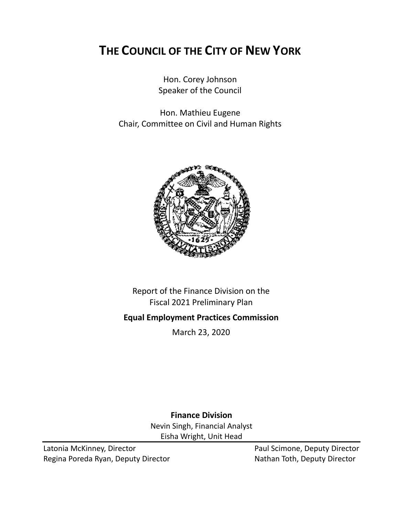# **THE COUNCIL OF THE CITY OF NEW YORK**

Hon. Corey Johnson Speaker of the Council

Hon. Mathieu Eugene Chair, Committee on Civil and Human Rights



Report of the Finance Division on the Fiscal 2021 Preliminary Plan

## **Equal Employment Practices Commission**

March 23, 2020

**Finance Division** Nevin Singh, Financial Analyst Eisha Wright, Unit Head

Latonia McKinney, Director **Paul Scimone, Deputy Director** Paul Scimone, Deputy Director Regina Poreda Ryan, Deputy Director Nathan Toth, Deputy Director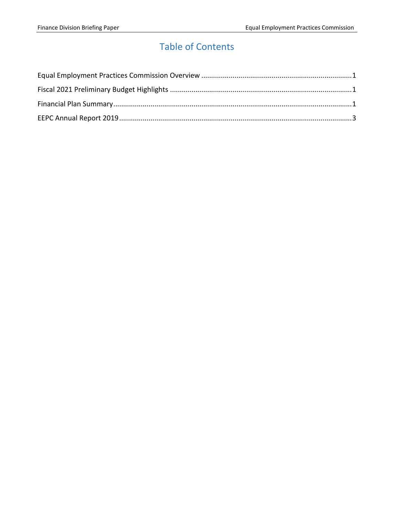# Table of Contents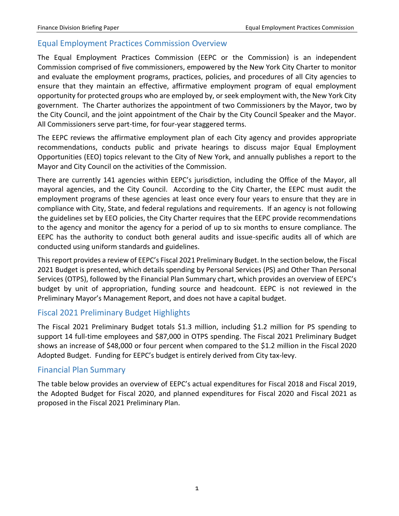### <span id="page-2-0"></span>Equal Employment Practices Commission Overview

The Equal Employment Practices Commission (EEPC or the Commission) is an independent Commission comprised of five commissioners, empowered by the New York City Charter to monitor and evaluate the employment programs, practices, policies, and procedures of all City agencies to ensure that they maintain an effective, affirmative employment program of equal employment opportunity for protected groups who are employed by, or seek employment with, the New York City government. The Charter authorizes the appointment of two Commissioners by the Mayor, two by the City Council, and the joint appointment of the Chair by the City Council Speaker and the Mayor. All Commissioners serve part-time, for four-year staggered terms.

The EEPC reviews the affirmative employment plan of each City agency and provides appropriate recommendations, conducts public and private hearings to discuss major Equal Employment Opportunities (EEO) topics relevant to the City of New York, and annually publishes a report to the Mayor and City Council on the activities of the Commission.

There are currently 141 agencies within EEPC's jurisdiction, including the Office of the Mayor, all mayoral agencies, and the City Council. According to the City Charter, the EEPC must audit the employment programs of these agencies at least once every four years to ensure that they are in compliance with City, State, and federal regulations and requirements. If an agency is not following the guidelines set by EEO policies, the City Charter requires that the EEPC provide recommendations to the agency and monitor the agency for a period of up to six months to ensure compliance. The EEPC has the authority to conduct both general audits and issue-specific audits all of which are conducted using uniform standards and guidelines.

This report provides a review of EEPC's Fiscal 2021 Preliminary Budget. In the section below, the Fiscal 2021 Budget is presented, which details spending by Personal Services (PS) and Other Than Personal Services (OTPS), followed by the Financial Plan Summary chart, which provides an overview of EEPC's budget by unit of appropriation, funding source and headcount. EEPC is not reviewed in the Preliminary Mayor's Management Report, and does not have a capital budget.

#### <span id="page-2-1"></span>Fiscal 2021 Preliminary Budget Highlights

The Fiscal 2021 Preliminary Budget totals \$1.3 million, including \$1.2 million for PS spending to support 14 full-time employees and \$87,000 in OTPS spending. The Fiscal 2021 Preliminary Budget shows an increase of \$48,000 or four percent when compared to the \$1.2 million in the Fiscal 2020 Adopted Budget. Funding for EEPC's budget is entirely derived from City tax-levy.

#### <span id="page-2-2"></span>Financial Plan Summary

The table below provides an overview of EEPC's actual expenditures for Fiscal 2018 and Fiscal 2019, the Adopted Budget for Fiscal 2020, and planned expenditures for Fiscal 2020 and Fiscal 2021 as proposed in the Fiscal 2021 Preliminary Plan.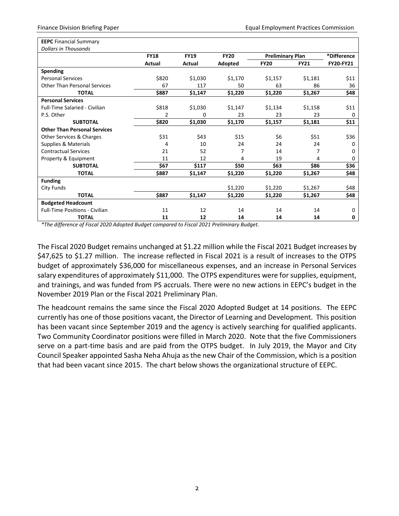| <b>EEPC</b> Financial Summary         |             |             |             |                         |             |                  |
|---------------------------------------|-------------|-------------|-------------|-------------------------|-------------|------------------|
| <b>Dollars in Thousands</b>           |             |             |             |                         |             |                  |
|                                       | <b>FY18</b> | <b>FY19</b> | <b>FY20</b> | <b>Preliminary Plan</b> |             | *Difference      |
|                                       | Actual      | Actual      | Adopted     | <b>FY20</b>             | <b>FY21</b> | <b>FY20-FY21</b> |
| <b>Spending</b>                       |             |             |             |                         |             |                  |
| <b>Personal Services</b>              | \$820       | \$1,030     | \$1,170     | \$1,157                 | \$1,181     | \$11             |
| <b>Other Than Personal Services</b>   | 67          | 117         | 50          | 63                      | 86          | 36               |
| <b>TOTAL</b>                          | \$887       | \$1,147     | \$1,220     | \$1,220                 | \$1,267     | \$48             |
| <b>Personal Services</b>              |             |             |             |                         |             |                  |
| <b>Full-Time Salaried - Civilian</b>  | \$818       | \$1,030     | \$1,147     | \$1,134                 | \$1,158     | \$11             |
| P.S. Other                            | 2           | $\Omega$    | 23          | 23                      | 23          | 0                |
| <b>SUBTOTAL</b>                       | \$820       | \$1,030     | \$1,170     | \$1,157                 | \$1,181     | \$11             |
| <b>Other Than Personal Services</b>   |             |             |             |                         |             |                  |
| Other Services & Charges              | \$31        | \$43        | \$15        | \$6                     | \$51        | \$36             |
| Supplies & Materials                  | 4           | 10          | 24          | 24                      | 24          | 0                |
| <b>Contractual Services</b>           | 21          | 52          | 7           | 14                      | 7           | 0                |
| Property & Equipment                  | 11          | 12          | 4           | 19                      | 4           | 0                |
| <b>SUBTOTAL</b>                       | \$67        | \$117       | \$50        | \$63                    | \$86        | \$36             |
| <b>TOTAL</b>                          | \$887       | \$1,147     | \$1,220     | \$1,220                 | \$1,267     | \$48             |
| <b>Funding</b>                        |             |             |             |                         |             |                  |
| City Funds                            |             |             | \$1,220     | \$1,220                 | \$1,267     | \$48             |
| <b>TOTAL</b>                          | \$887       | \$1,147     | \$1,220     | \$1,220                 | \$1,267     | \$48             |
| <b>Budgeted Headcount</b>             |             |             |             |                         |             |                  |
| <b>Full-Time Positions - Civilian</b> | 11          | 12          | 14          | 14                      | 14          | 0                |
| <b>TOTAL</b>                          | 11          | 12          | 14          | 14                      | 14          | 0                |

*\*The difference of Fiscal 2020 Adopted Budget compared to Fiscal 2021 Preliminary Budget.*

The Fiscal 2020 Budget remains unchanged at \$1.22 million while the Fiscal 2021 Budget increases by \$47,625 to \$1.27 million. The increase reflected in Fiscal 2021 is a result of increases to the OTPS budget of approximately \$36,000 for miscellaneous expenses, and an increase in Personal Services salary expenditures of approximately \$11,000. The OTPS expenditures were for supplies, equipment, and trainings, and was funded from PS accruals. There were no new actions in EEPC's budget in the November 2019 Plan or the Fiscal 2021 Preliminary Plan.

The headcount remains the same since the Fiscal 2020 Adopted Budget at 14 positions. The EEPC currently has one of those positions vacant, the Director of Learning and Development. This position has been vacant since September 2019 and the agency is actively searching for qualified applicants. Two Community Coordinator positions were filled in March 2020. Note that the five Commissioners serve on a part-time basis and are paid from the OTPS budget. In July 2019, the Mayor and City Council Speaker appointed Sasha Neha Ahuja as the new Chair of the Commission, which is a position that had been vacant since 2015. The chart below shows the organizational structure of EEPC.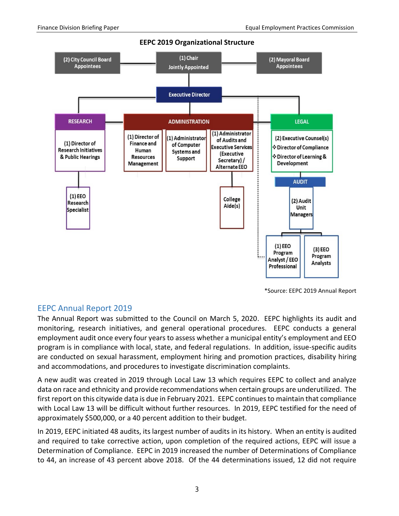

**EEPC 2019 Organizational Structure**

\*Source: EEPC 2019 Annual Report

#### <span id="page-4-0"></span>EEPC Annual Report 2019

The Annual Report was submitted to the Council on March 5, 2020. EEPC highlights its audit and monitoring, research initiatives, and general operational procedures. EEPC conducts a general employment audit once every four years to assess whether a municipal entity's employment and EEO program is in compliance with local, state, and federal regulations. In addition, issue-specific audits are conducted on sexual harassment, employment hiring and promotion practices, disability hiring and accommodations, and procedures to investigate discrimination complaints.

A new audit was created in 2019 through Local Law 13 which requires EEPC to collect and analyze data on race and ethnicity and provide recommendations when certain groups are underutilized. The first report on this citywide data is due in February 2021. EEPC continues to maintain that compliance with Local Law 13 will be difficult without further resources. In 2019, EEPC testified for the need of approximately \$500,000, or a 40 percent addition to their budget.

In 2019, EEPC initiated 48 audits, its largest number of audits in its history. When an entity is audited and required to take corrective action, upon completion of the required actions, EEPC will issue a Determination of Compliance. EEPC in 2019 increased the number of Determinations of Compliance to 44, an increase of 43 percent above 2018. Of the 44 determinations issued, 12 did not require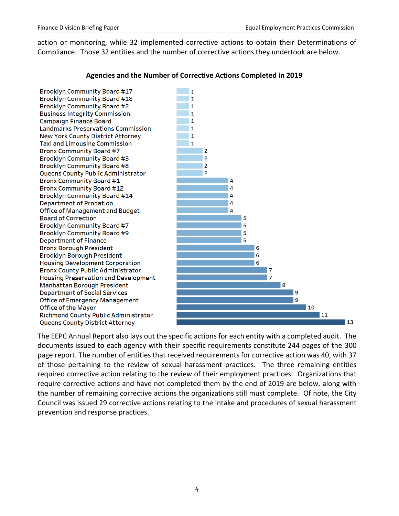action or monitoring, while 32 implemented corrective actions to obtain their Determinations of Compliance. Those 32 entities and the number of corrective actions they undertook are below.



#### **Agencies and the Number of Corrective Actions Completed in 2019**

The EEPC Annual Report also lays out the specific actions for each entity with a completed audit. The documents issued to each agency with their specific requirements constitute 244 pages of the 300 page report. The number of entities that received requirements for corrective action was 40, with 37 of those pertaining to the review of sexual harassment practices. The three remaining entities required corrective action relating to the review of their employment practices. Organizations that require corrective actions and have not completed them by the end of 2019 are below, along with the number of remaining corrective actions the organizations still must complete. Of note, the City Council was issued 29 corrective actions relating to the intake and procedures of sexual harassment prevention and response practices.